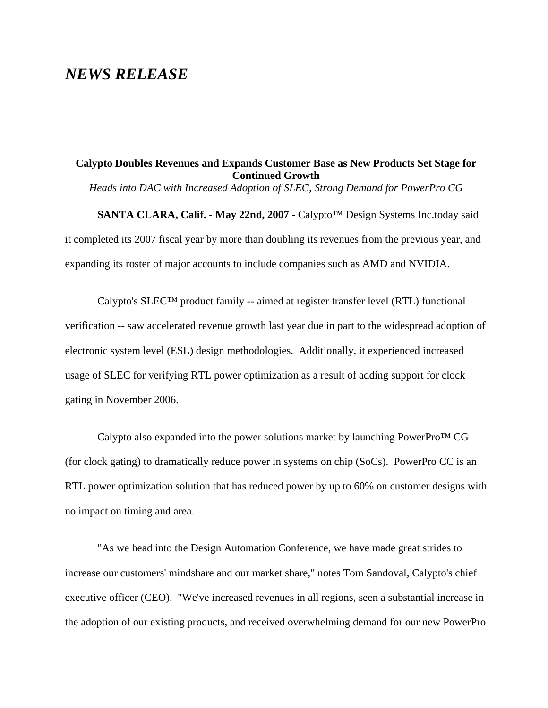## *NEWS RELEASE*

## **Calypto Doubles Revenues and Expands Customer Base as New Products Set Stage for Continued Growth**

*Heads into DAC with Increased Adoption of SLEC, Strong Demand for PowerPro CG*

**SANTA CLARA, Calif. - May 22nd, 2007 -** Calypto™ Design Systems Inc.today said it completed its 2007 fiscal year by more than doubling its revenues from the previous year, and expanding its roster of major accounts to include companies such as AMD and NVIDIA.

Calypto's  $SLEC^{TM}$  product family -- aimed at register transfer level (RTL) functional verification -- saw accelerated revenue growth last year due in part to the widespread adoption of electronic system level (ESL) design methodologies. Additionally, it experienced increased usage of SLEC for verifying RTL power optimization as a result of adding support for clock gating in November 2006.

Calypto also expanded into the power solutions market by launching PowerPro™ CG (for clock gating) to dramatically reduce power in systems on chip (SoCs). PowerPro CC is an RTL power optimization solution that has reduced power by up to 60% on customer designs with no impact on timing and area.

"As we head into the Design Automation Conference, we have made great strides to increase our customers' mindshare and our market share," notes Tom Sandoval, Calypto's chief executive officer (CEO). "We've increased revenues in all regions, seen a substantial increase in the adoption of our existing products, and received overwhelming demand for our new PowerPro